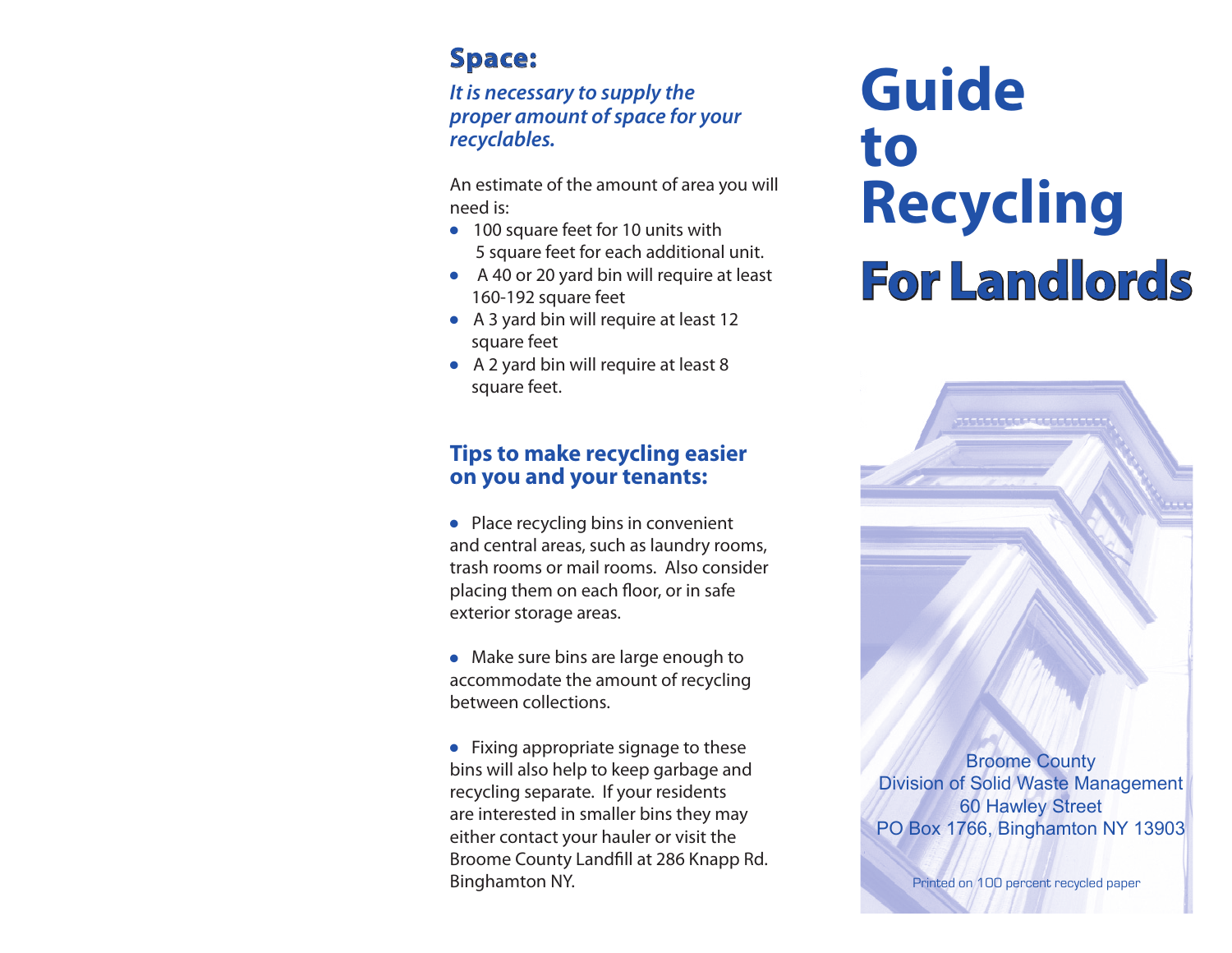## **Space:**

#### *It is necessary to supply the proper amount of space for your recyclables.*

An estimate of the amount of area you will need is:

- 100 square feet for 10 units with 5 square feet for each additional unit.
- A 40 or 20 yard bin will require at least 160-192 square feet
- A 3 yard bin will require at least 12 square feet
- A 2 yard bin will require at least 8 square feet.

## **Tips to make recycling easier on you and your tenants:**

● Place recycling bins in convenient and central areas, such as laundry rooms, trash rooms or mail rooms. Also consider placing them on each floor, or in safe exterior storage areas.

● Make sure bins are large enough to accommodate the amount of recycling between collections.

● Fixing appropriate signage to these bins will also help to keep garbage and recycling separate. If your residents are interested in smaller bins they may either contact your hauler or visit the Broome County Landfill at 286 Knapp Rd. **Binghamton NY.** Printed on 100 percent recycled paper

# **Guide to Recycling For Landlords or**